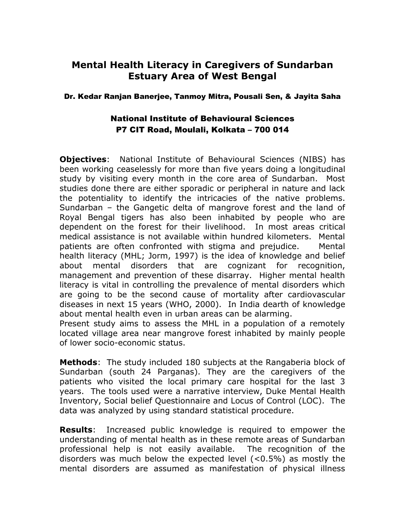## **Mental Health Literacy in Caregivers of Sundarban Estuary Area of West Bengal**

## Dr. Kedar Ranjan Banerjee, Tanmoy Mitra, Pousali Sen, & Jayita Saha

## National Institute of Behavioural Sciences P7 CIT Road, Moulali, Kolkata – 700 014

**Objectives**: National Institute of Behavioural Sciences (NIBS) has been working ceaselessly for more than five years doing a longitudinal study by visiting every month in the core area of Sundarban. Most studies done there are either sporadic or peripheral in nature and lack the potentiality to identify the intricacies of the native problems. Sundarban – the Gangetic delta of mangrove forest and the land of Royal Bengal tigers has also been inhabited by people who are dependent on the forest for their livelihood. In most areas critical medical assistance is not available within hundred kilometers. Mental patients are often confronted with stigma and prejudice. Mental health literacy (MHL; Jorm, 1997) is the idea of knowledge and belief about mental disorders that are cognizant for recognition, management and prevention of these disarray. Higher mental health literacy is vital in controlling the prevalence of mental disorders which are going to be the second cause of mortality after cardiovascular diseases in next 15 years (WHO, 2000). In India dearth of knowledge about mental health even in urban areas can be alarming. Present study aims to assess the MHL in a population of a remotely

located village area near mangrove forest inhabited by mainly people of lower socio-economic status.

**Methods**: The study included 180 subjects at the Rangaberia block of Sundarban (south 24 Parganas). They are the caregivers of the patients who visited the local primary care hospital for the last 3 years. The tools used were a narrative interview, Duke Mental Health Inventory, Social belief Questionnaire and Locus of Control (LOC). The data was analyzed by using standard statistical procedure.

**Results**: Increased public knowledge is required to empower the understanding of mental health as in these remote areas of Sundarban professional help is not easily available. The recognition of the disorders was much below the expected level (<0.5%) as mostly the mental disorders are assumed as manifestation of physical illness